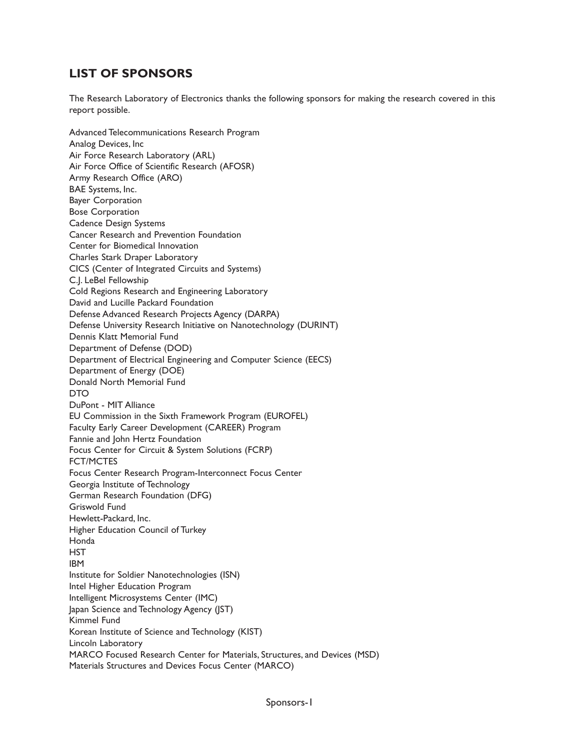## **LIST OF SPONSORS**

The Research Laboratory of Electronics thanks the following sponsors for making the research covered in this report possible.

Advanced Telecommunications Research Program Analog Devices, Inc Air Force Research Laboratory (ARL) Air Force Office of Scientific Research (AFOSR) Army Research Office (ARO) BAE Systems, Inc. Bayer Corporation Bose Corporation Cadence Design Systems Cancer Research and Prevention Foundation Center for Biomedical Innovation Charles Stark Draper Laboratory CICS (Center of Integrated Circuits and Systems) C.J. LeBel Fellowship Cold Regions Research and Engineering Laboratory David and Lucille Packard Foundation Defense Advanced Research Projects Agency (DARPA) Defense University Research Initiative on Nanotechnology (DURINT) Dennis Klatt Memorial Fund Department of Defense (DOD) Department of Electrical Engineering and Computer Science (EECS) Department of Energy (DOE) Donald North Memorial Fund **DTO** DuPont - MIT Alliance EU Commission in the Sixth Framework Program (EUROFEL) Faculty Early Career Development (CAREER) Program Fannie and John Hertz Foundation Focus Center for Circuit & System Solutions (FCRP) FCT/MCTES Focus Center Research Program-Interconnect Focus Center Georgia Institute of Technology German Research Foundation (DFG) Griswold Fund Hewlett-Packard, Inc. Higher Education Council of Turkey Honda **HST** IBM Institute for Soldier Nanotechnologies (ISN) Intel Higher Education Program Intelligent Microsystems Center (IMC) Japan Science and Technology Agency (JST) Kimmel Fund Korean Institute of Science and Technology (KIST) Lincoln Laboratory MARCO Focused Research Center for Materials, Structures, and Devices (MSD) Materials Structures and Devices Focus Center (MARCO)